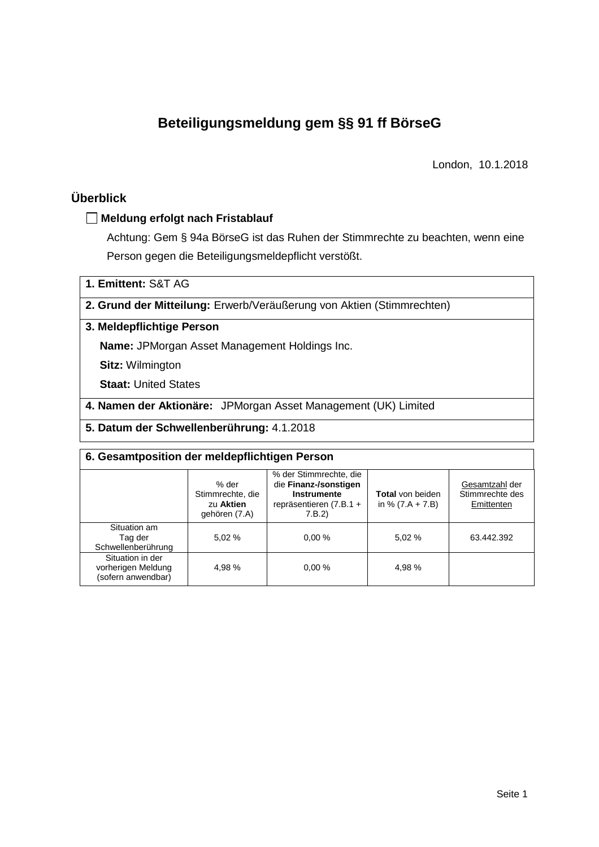# **Beteiligungsmeldung gem §§ 91 ff BörseG**

London, 10.1.2018

# **Überblick**

### **Meldung erfolgt nach Fristablauf**

Achtung: Gem § 94a BörseG ist das Ruhen der Stimmrechte zu beachten, wenn eine Person gegen die Beteiligungsmeldepflicht verstößt.

**1. Emittent:** S&T AG

### **2. Grund der Mitteilung:** Erwerb/Veräußerung von Aktien (Stimmrechten)

## **3. Meldepflichtige Person**

**Name:** JPMorgan Asset Management Holdings Inc.

**Sitz:** Wilmington

**Staat:** United States

**4. Namen der Aktionäre:** JPMorgan Asset Management (UK) Limited

**5. Datum der Schwellenberührung:** 4.1.2018

| 6. Gesamtposition der meldepflichtigen Person                |                                                         |                                                                                                       |                                               |                                                 |  |  |  |
|--------------------------------------------------------------|---------------------------------------------------------|-------------------------------------------------------------------------------------------------------|-----------------------------------------------|-------------------------------------------------|--|--|--|
|                                                              | % der<br>Stimmrechte, die<br>zu Aktien<br>gehören (7.A) | % der Stimmrechte, die<br>die Finanz-/sonstigen<br>Instrumente<br>repräsentieren $(7.B.1 +$<br>7.B.2) | <b>Total</b> von beiden<br>in % $(7.A + 7.B)$ | Gesamtzahl der<br>Stimmrechte des<br>Emittenten |  |  |  |
| Situation am<br>Tag der<br>Schwellenberührung                | 5.02 %                                                  | 0.00%                                                                                                 | 5,02 %                                        | 63.442.392                                      |  |  |  |
| Situation in der<br>vorherigen Meldung<br>(sofern anwendbar) | 4,98 %                                                  | 0.00%                                                                                                 | 4,98 %                                        |                                                 |  |  |  |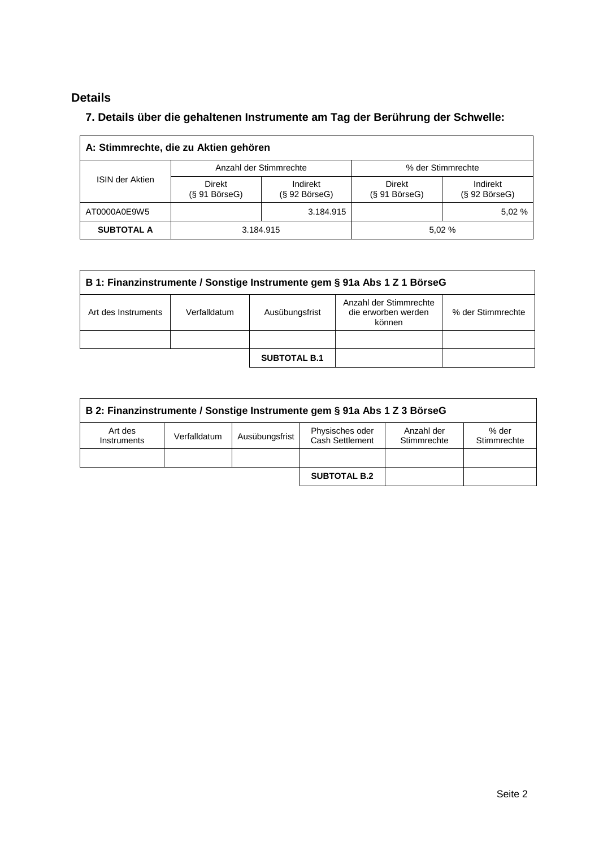# **Details**

# **7. Details über die gehaltenen Instrumente am Tag der Berührung der Schwelle:**

| A: Stimmrechte, die zu Aktien gehören |                               |                                 |                                  |                                 |  |  |  |
|---------------------------------------|-------------------------------|---------------------------------|----------------------------------|---------------------------------|--|--|--|
|                                       |                               | Anzahl der Stimmrechte          | % der Stimmrechte                |                                 |  |  |  |
| <b>ISIN der Aktien</b>                | Direkt<br>$(S 91 B$ örse $G)$ | Indirekt<br>$(S 92 B$ örse $G)$ | Direkt<br>$(S 91 B\ddot{o}rseG)$ | Indirekt<br>$(S 92 B$ örse $G)$ |  |  |  |
| AT0000A0E9W5                          |                               | 3.184.915                       |                                  | 5,02 %                          |  |  |  |
| <b>SUBTOTAL A</b>                     | 3.184.915<br>5.02 %           |                                 |                                  |                                 |  |  |  |

| B 1: Finanzinstrumente / Sonstige Instrumente gem § 91a Abs 1 Z 1 BörseG |                                                                                                                |                     |  |  |  |  |
|--------------------------------------------------------------------------|----------------------------------------------------------------------------------------------------------------|---------------------|--|--|--|--|
| Art des Instruments                                                      | Anzahl der Stimmrechte<br>die erworben werden<br>% der Stimmrechte<br>Verfalldatum<br>Ausübungsfrist<br>können |                     |  |  |  |  |
|                                                                          |                                                                                                                |                     |  |  |  |  |
|                                                                          |                                                                                                                | <b>SUBTOTAL B.1</b> |  |  |  |  |

| B 2: Finanzinstrumente / Sonstige Instrumente gem § 91a Abs 1 Z 3 BörseG |                                                                                                                           |  |                     |  |  |  |  |
|--------------------------------------------------------------------------|---------------------------------------------------------------------------------------------------------------------------|--|---------------------|--|--|--|--|
| Art des<br>Instruments                                                   | Physisches oder<br>% der<br>Anzahl der<br>Ausübungsfrist<br>Verfalldatum<br>Cash Settlement<br>Stimmrechte<br>Stimmrechte |  |                     |  |  |  |  |
|                                                                          |                                                                                                                           |  |                     |  |  |  |  |
|                                                                          |                                                                                                                           |  | <b>SUBTOTAL B.2</b> |  |  |  |  |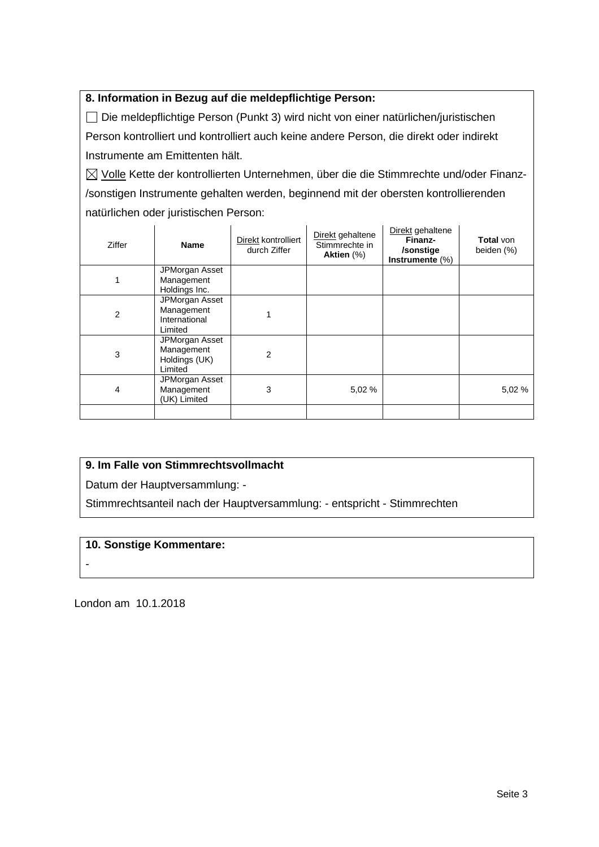## **8. Information in Bezug auf die meldepflichtige Person:**

 Die meldepflichtige Person (Punkt 3) wird nicht von einer natürlichen/juristischen Person kontrolliert und kontrolliert auch keine andere Person, die direkt oder indirekt Instrumente am Emittenten hält.

 $\boxtimes$  Volle Kette der kontrollierten Unternehmen, über die die Stimmrechte und/oder Finanz-/sonstigen Instrumente gehalten werden, beginnend mit der obersten kontrollierenden natürlichen oder juristischen Person:

| Ziffer | <b>Name</b>                                              | Direkt kontrolliert<br>durch Ziffer | Direkt gehaltene<br>Stimmrechte in<br>Aktien (%) | Direkt gehaltene<br>Finanz-<br>/sonstige<br>Instrumente (%) | <b>Total</b> von<br>beiden (%) |
|--------|----------------------------------------------------------|-------------------------------------|--------------------------------------------------|-------------------------------------------------------------|--------------------------------|
|        | JPMorgan Asset<br>Management<br>Holdings Inc.            |                                     |                                                  |                                                             |                                |
| 2      | JPMorgan Asset<br>Management<br>International<br>Limited |                                     |                                                  |                                                             |                                |
| 3      | JPMorgan Asset<br>Management<br>Holdings (UK)<br>Limited | $\overline{2}$                      |                                                  |                                                             |                                |
| 4      | JPMorgan Asset<br>Management<br>(UK) Limited             | 3                                   | 5,02 %                                           |                                                             | 5,02 %                         |
|        |                                                          |                                     |                                                  |                                                             |                                |

## **9. Im Falle von Stimmrechtsvollmacht**

Datum der Hauptversammlung: -

Stimmrechtsanteil nach der Hauptversammlung: - entspricht - Stimmrechten

#### **10. Sonstige Kommentare:**

-

London am 10.1.2018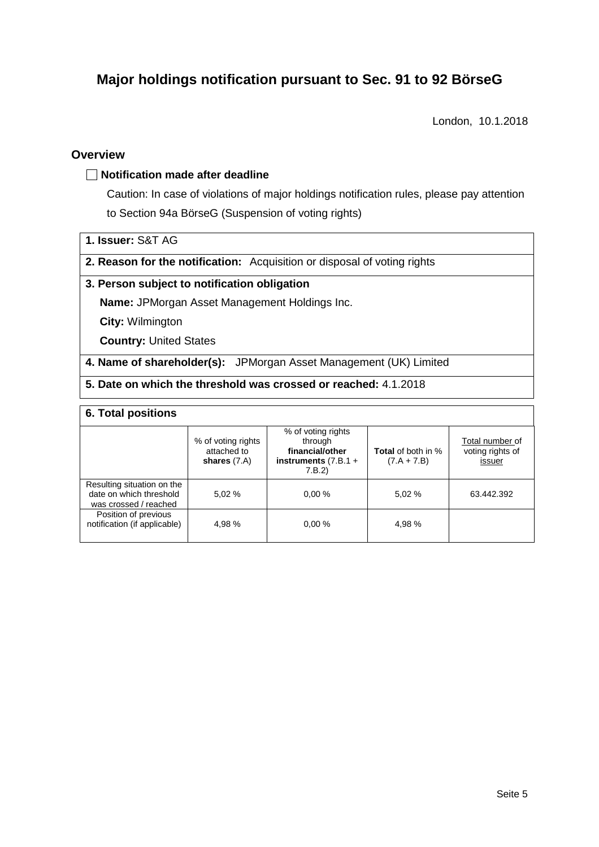# **Major holdings notification pursuant to Sec. 91 to 92 BörseG**

London, 10.1.2018

### **Overview**

#### **Notification made after deadline**

Caution: In case of violations of major holdings notification rules, please pay attention to Section 94a BörseG (Suspension of voting rights)

#### **1. Issuer:** S&T AG

**2. Reason for the notification:** Acquisition or disposal of voting rights

#### **3. Person subject to notification obligation**

**Name:** JPMorgan Asset Management Holdings Inc.

**City:** Wilmington

**Country:** United States

**4. Name of shareholder(s):** JPMorgan Asset Management (UK) Limited

## **5. Date on which the threshold was crossed or reached:** 4.1.2018

#### **6. Total positions**

|                                                                                | % of voting rights<br>attached to<br>shares $(7.A)$ | % of voting rights<br>through<br>financial/other<br>instruments $(7.B.1 +$<br>7.B.2 | <b>Total</b> of both in %<br>$(7.A + 7.B)$ | Total number of<br>voting rights of<br>issuer |
|--------------------------------------------------------------------------------|-----------------------------------------------------|-------------------------------------------------------------------------------------|--------------------------------------------|-----------------------------------------------|
| Resulting situation on the<br>date on which threshold<br>was crossed / reached | 5.02%                                               | 0.00%                                                                               | 5,02 %                                     | 63.442.392                                    |
| Position of previous<br>notification (if applicable)                           | 4.98 %                                              | 0.00%                                                                               | 4,98%                                      |                                               |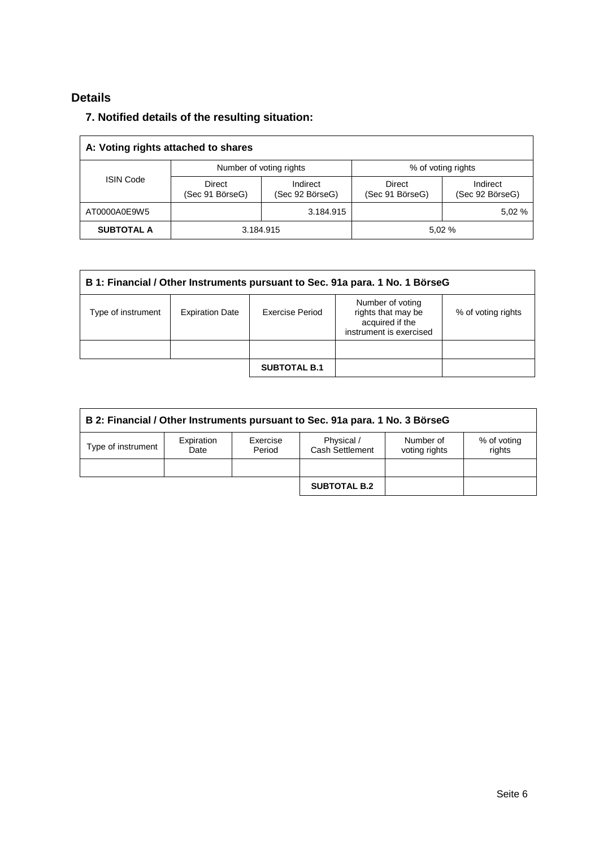# **Details**

# **7. Notified details of the resulting situation:**

| A: Voting rights attached to shares |                                  |                                               |                           |                             |  |  |  |
|-------------------------------------|----------------------------------|-----------------------------------------------|---------------------------|-----------------------------|--|--|--|
| <b>ISIN Code</b>                    |                                  | Number of voting rights<br>% of voting rights |                           |                             |  |  |  |
|                                     | <b>Direct</b><br>(Sec 91 BörseG) | Indirect<br>(Sec 92 BörseG)                   | Direct<br>(Sec 91 BörseG) | Indirect<br>(Sec 92 BörseG) |  |  |  |
| AT0000A0E9W5                        |                                  | 3.184.915                                     |                           | 5,02 %                      |  |  |  |
| <b>SUBTOTAL A</b>                   |                                  | 3.184.915                                     |                           | 5.02%                       |  |  |  |

| B 1: Financial / Other Instruments pursuant to Sec. 91a para. 1 No. 1 BörseG |                        |                     |                                                                                      |                    |  |  |
|------------------------------------------------------------------------------|------------------------|---------------------|--------------------------------------------------------------------------------------|--------------------|--|--|
| Type of instrument                                                           | <b>Expiration Date</b> | Exercise Period     | Number of voting<br>rights that may be<br>acquired if the<br>instrument is exercised | % of voting rights |  |  |
|                                                                              |                        |                     |                                                                                      |                    |  |  |
|                                                                              |                        | <b>SUBTOTAL B.1</b> |                                                                                      |                    |  |  |

| B 2: Financial / Other Instruments pursuant to Sec. 91a para. 1 No. 3 BörseG |                    |                    |                               |                            |                       |  |  |
|------------------------------------------------------------------------------|--------------------|--------------------|-------------------------------|----------------------------|-----------------------|--|--|
| Type of instrument                                                           | Expiration<br>Date | Exercise<br>Period | Physical /<br>Cash Settlement | Number of<br>voting rights | % of voting<br>rights |  |  |
|                                                                              |                    |                    |                               |                            |                       |  |  |
|                                                                              |                    |                    | <b>SUBTOTAL B.2</b>           |                            |                       |  |  |